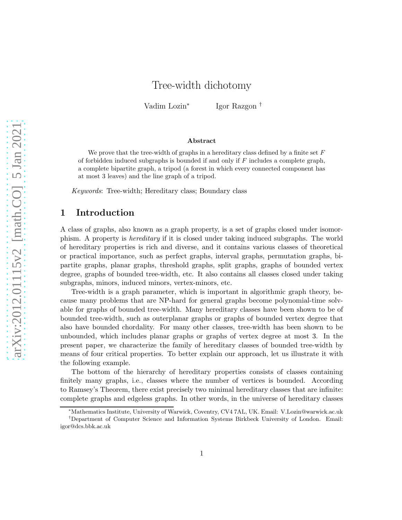# Tree-width dichotomy

Vadim Lozin<sup>∗</sup> Igor Razgon †

#### Abstract

We prove that the tree-width of graphs in a hereditary class defined by a finite set  $F$ of forbidden induced subgraphs is bounded if and only if  $F$  includes a complete graph, a complete bipartite graph, a tripod (a forest in which every connected component has at most 3 leaves) and the line graph of a tripod.

Keywords: Tree-width; Hereditary class; Boundary class

# 1 Introduction

A class of graphs, also known as a graph property, is a set of graphs closed under isomorphism. A property is hereditary if it is closed under taking induced subgraphs. The world of hereditary properties is rich and diverse, and it contains various classes of theoretical or practical importance, such as perfect graphs, interval graphs, permutation graphs, bipartite graphs, planar graphs, threshold graphs, split graphs, graphs of bounded vertex degree, graphs of bounded tree-width, etc. It also contains all classes closed under taking subgraphs, minors, induced minors, vertex-minors, etc.

Tree-width is a graph parameter, which is important in algorithmic graph theory, because many problems that are NP-hard for general graphs become polynomial-time solvable for graphs of bounded tree-width. Many hereditary classes have been shown to be of bounded tree-width, such as outerplanar graphs or graphs of bounded vertex degree that also have bounded chordality. For many other classes, tree-width has been shown to be unbounded, which includes planar graphs or graphs of vertex degree at most 3. In the present paper, we characterize the family of hereditary classes of bounded tree-width by means of four critical properties. To better explain our approach, let us illustrate it with the following example.

The bottom of the hierarchy of hereditary properties consists of classes containing finitely many graphs, i.e., classes where the number of vertices is bounded. According to Ramsey's Theorem, there exist precisely two minimal hereditary classes that are infinite: complete graphs and edgeless graphs. In other words, in the universe of hereditary classes

<sup>∗</sup>Mathematics Institute, University of Warwick, Coventry, CV4 7AL, UK. Email: V.Lozin@warwick.ac.uk

<sup>†</sup>Department of Computer Science and Information Systems Birkbeck University of London. Email: igor@dcs.bbk.ac.uk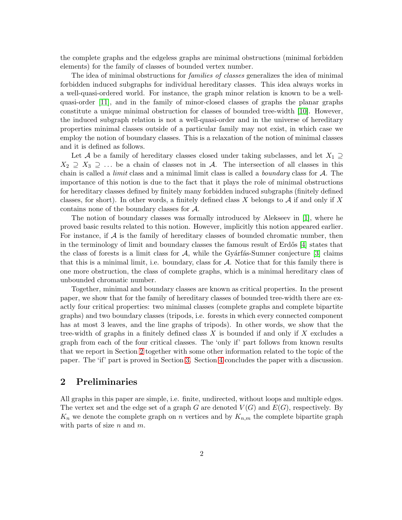the complete graphs and the edgeless graphs are minimal obstructions (minimal forbidden elements) for the family of classes of bounded vertex number.

The idea of minimal obstructions for families of classes generalizes the idea of minimal forbidden induced subgraphs for individual hereditary classes. This idea always works in a well-quasi-ordered world. For instance, the graph minor relation is known to be a wellquasi-order [\[11\]](#page-9-0), and in the family of minor-closed classes of graphs the planar graphs constitute a unique minimal obstruction for classes of bounded tree-width [\[10\]](#page-9-1). However, the induced subgraph relation is not a well-quasi-order and in the universe of hereditary properties minimal classes outside of a particular family may not exist, in which case we employ the notion of boundary classes. This is a relaxation of the notion of minimal classes and it is defined as follows.

Let A be a family of hereditary classes closed under taking subclasses, and let  $X_1 \supseteq$  $X_2 \supseteq X_3 \supseteq \ldots$  be a chain of classes not in A. The intersection of all classes in this chain is called a *limit* class and a minimal limit class is called a *boundary* class for  $A$ . The importance of this notion is due to the fact that it plays the role of minimal obstructions for hereditary classes defined by finitely many forbidden induced subgraphs (finitely defined classes, for short). In other words, a finitely defined class X belongs to  $A$  if and only if X contains none of the boundary classes for A.

The notion of boundary classes was formally introduced by Alekseev in [\[1\]](#page-8-0), where he proved basic results related to this notion. However, implicitly this notion appeared earlier. For instance, if  $A$  is the family of hereditary classes of bounded chromatic number, then in the terminology of limit and boundary classes the famous result of Erdős  $[4]$  states that the class of forests is a limit class for  $\mathcal{A}$ , while the Gyárfás-Sumner conjecture [\[3\]](#page-8-2) claims that this is a minimal limit, i.e. boundary, class for  $A$ . Notice that for this family there is one more obstruction, the class of complete graphs, which is a minimal hereditary class of unbounded chromatic number.

Together, minimal and boundary classes are known as critical properties. In the present paper, we show that for the family of hereditary classes of bounded tree-width there are exactly four critical properties: two minimal classes (complete graphs and complete bipartite graphs) and two boundary classes (tripods, i.e. forests in which every connected component has at most 3 leaves, and the line graphs of tripods). In other words, we show that the tree-width of graphs in a finitely defined class  $X$  is bounded if and only if  $X$  excludes a graph from each of the four critical classes. The 'only if' part follows from known results that we report in Section [2](#page-1-0) together with some other information related to the topic of the paper. The 'if' part is proved in Section [3.](#page-4-0) Section [4](#page-7-0) concludes the paper with a discussion.

# <span id="page-1-0"></span>2 Preliminaries

All graphs in this paper are simple, i.e. finite, undirected, without loops and multiple edges. The vertex set and the edge set of a graph G are denoted  $V(G)$  and  $E(G)$ , respectively. By  $K_n$  we denote the complete graph on n vertices and by  $K_{n,m}$  the complete bipartite graph with parts of size  $n$  and  $m$ .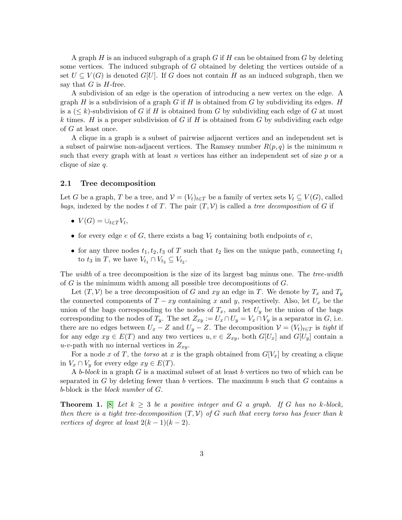A graph  $H$  is an induced subgraph of a graph  $G$  if  $H$  can be obtained from  $G$  by deleting some vertices. The induced subgraph of G obtained by deleting the vertices outside of a set  $U \subseteq V(G)$  is denoted  $G[U]$ . If G does not contain H as an induced subgraph, then we say that  $G$  is  $H$ -free.

A subdivision of an edge is the operation of introducing a new vertex on the edge. A graph H is a subdivision of a graph G if H is obtained from G by subdividing its edges. H is a  $( $k$ )-subdivision of  $G$  if  $H$  is obtained from  $G$  by subdividing each edge of  $G$  at most$ k times. H is a proper subdivision of G if H is obtained from G by subdividing each edge of G at least once.

A clique in a graph is a subset of pairwise adjacent vertices and an independent set is a subset of pairwise non-adjacent vertices. The Ramsey number  $R(p,q)$  is the minimum n such that every graph with at least n vertices has either an independent set of size  $p$  or a clique of size  $q$ .

#### <span id="page-2-1"></span>2.1 Tree decomposition

Let G be a graph, T be a tree, and  $\mathcal{V} = (V_t)_{t \in T}$  be a family of vertex sets  $V_t \subseteq V(G)$ , called bags, indexed by the nodes t of T. The pair  $(T, V)$  is called a tree decomposition of G if

- $V(G) = \bigcup_{t \in T} V_t$ ,
- for every edge e of G, there exists a bag  $V_t$  containing both endpoints of e,
- for any three nodes  $t_1, t_2, t_3$  of T such that  $t_2$  lies on the unique path, connecting  $t_1$ to  $t_3$  in T, we have  $V_{t_1} \cap V_{t_3} \subseteq V_{t_2}$ .

The width of a tree decomposition is the size of its largest bag minus one. The tree-width of  $G$  is the minimum width among all possible tree decompositions of  $G$ .

Let  $(T, V)$  be a tree decomposition of G and xy an edge in T. We denote by  $T_x$  and  $T_y$ the connected components of  $T - xy$  containing x and y, respectively. Also, let  $U_x$  be the union of the bags corresponding to the nodes of  $T_x$ , and let  $U_y$  be the union of the bags corresponding to the nodes of  $T_y$ . The set  $Z_{xy} := U_x \cap U_y = V_x \cap V_y$  is a separator in G, i.e. there are no edges between  $U_x - Z$  and  $U_y - Z$ . The decomposition  $\mathcal{V} = (V_t)_{t \in T}$  is tight if for any edge  $xy \in E(T)$  and any two vertices  $u, v \in Z_{xy}$ , both  $G[U_x]$  and  $G[U_y]$  contain a u-v-path with no internal vertices in  $Z_{xy}$ .

For a node x of T, the torso at x is the graph obtained from  $G[V_x]$  by creating a clique in  $V_x \cap V_y$  for every edge  $xy \in E(T)$ .

A b-block in a graph  $G$  is a maximal subset of at least b vertices no two of which can be separated in G by deleting fewer than b vertices. The maximum b such that  $G$  contains a b-block is the block number of G.

<span id="page-2-0"></span>**Theorem 1.** [\[8\]](#page-9-2) Let  $k \geq 3$  be a positive integer and G a graph. If G has no k-block, then there is a tight tree-decomposition  $(T, V)$  of G such that every torso has fewer than k vertices of degree at least  $2(k-1)(k-2)$ .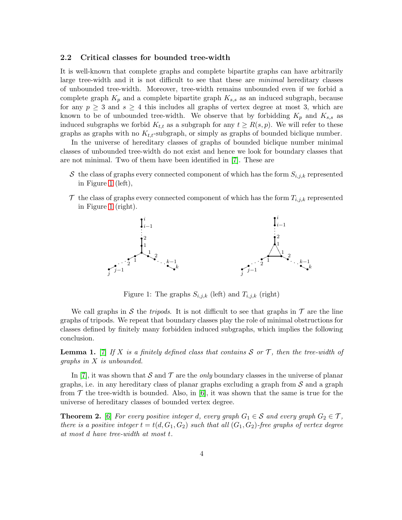#### 2.2 Critical classes for bounded tree-width

It is well-known that complete graphs and complete bipartite graphs can have arbitrarily large tree-width and it is not difficult to see that these are minimal hereditary classes of unbounded tree-width. Moreover, tree-width remains unbounded even if we forbid a complete graph  $K_p$  and a complete bipartite graph  $K_{s,s}$  as an induced subgraph, because for any  $p \geq 3$  and  $s \geq 4$  this includes all graphs of vertex degree at most 3, which are known to be of unbounded tree-width. We observe that by forbidding  $K_p$  and  $K_{s,s}$  as induced subgraphs we forbid  $K_{t,t}$  as a subgraph for any  $t \geq R(s,p)$ . We will refer to these graphs as graphs with no  $K_{t,t}$ -subgraph, or simply as graphs of bounded biclique number.

In the universe of hereditary classes of graphs of bounded biclique number minimal classes of unbounded tree-width do not exist and hence we look for boundary classes that are not minimal. Two of them have been identified in [\[7\]](#page-8-3). These are

- S the class of graphs every connected component of which has the form  $S_{i,j,k}$  represented in Figure [1](#page-3-0) (left),
- <span id="page-3-0"></span> $\mathcal T$  the class of graphs every connected component of which has the form  $T_{i,j,k}$  represented in Figure [1](#page-3-0) (right).



Figure 1: The graphs  $S_{i,j,k}$  (left) and  $T_{i,j,k}$  (right)

We call graphs in S the *tripods*. It is not difficult to see that graphs in  $\mathcal T$  are the line graphs of tripods. We repeat that boundary classes play the role of minimal obstructions for classes defined by finitely many forbidden induced subgraphs, which implies the following conclusion.

<span id="page-3-2"></span>**Lemma 1.** [\[7\]](#page-8-3) If X is a finitely defined class that contains S or T, then the tree-width of graphs in X is unbounded.

In [\[7\]](#page-8-3), it was shown that S and T are the *only* boundary classes in the universe of planar graphs, i.e. in any hereditary class of planar graphs excluding a graph from  $S$  and a graph from  $\mathcal T$  the tree-width is bounded. Also, in [\[6\]](#page-8-4), it was shown that the same is true for the universe of hereditary classes of bounded vertex degree.

<span id="page-3-1"></span>**Theorem 2.** [\[6\]](#page-8-4) For every positive integer d, every graph  $G_1 \in \mathcal{S}$  and every graph  $G_2 \in \mathcal{T}$ , there is a positive integer  $t = t(d, G_1, G_2)$  such that all  $(G_1, G_2)$ -free graphs of vertex degree at most d have tree-width at most t.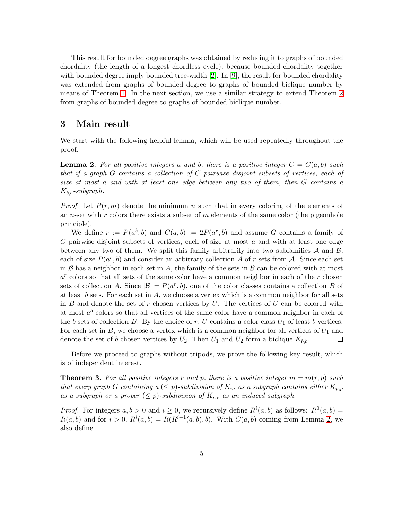This result for bounded degree graphs was obtained by reducing it to graphs of bounded chordality (the length of a longest chordless cycle), because bounded chordality together with bounded degree imply bounded tree-width [\[2\]](#page-8-5). In [\[9\]](#page-9-3), the result for bounded chordality was extended from graphs of bounded degree to graphs of bounded biclique number by means of Theorem [1.](#page-2-0) In the next section, we use a similar strategy to extend Theorem [2](#page-3-1) from graphs of bounded degree to graphs of bounded biclique number.

## <span id="page-4-0"></span>3 Main result

We start with the following helpful lemma, which will be used repeatedly throughout the proof.

<span id="page-4-1"></span>**Lemma 2.** For all positive integers a and b, there is a positive integer  $C = C(a, b)$  such that if a graph  $G$  contains a collection of  $C$  pairwise disjoint subsets of vertices, each of size at most a and with at least one edge between any two of them, then G contains a  $K_{b,b}$ -subgraph.

*Proof.* Let  $P(r, m)$  denote the minimum n such that in every coloring of the elements of an *n*-set with r colors there exists a subset of m elements of the same color (the pigeonhole principle).

We define  $r := P(a^b, b)$  and  $C(a, b) := 2P(a^r, b)$  and assume G contains a family of  $C$  pairwise disjoint subsets of vertices, each of size at most  $a$  and with at least one edge between any two of them. We split this family arbitrarily into two subfamilies  $A$  and  $B$ , each of size  $P(a^r, b)$  and consider an arbitrary collection A of r sets from A. Since each set in  $\beta$  has a neighbor in each set in A, the family of the sets in  $\beta$  can be colored with at most  $a<sup>r</sup>$  colors so that all sets of the same color have a common neighbor in each of the  $r$  chosen sets of collection A. Since  $|\mathcal{B}| = P(a^r, b)$ , one of the color classes contains a collection B of at least  $b$  sets. For each set in  $A$ , we choose a vertex which is a common neighbor for all sets in B and denote the set of r chosen vertices by  $U$ . The vertices of U can be colored with at most  $a^b$  colors so that all vertices of the same color have a common neighbor in each of the b sets of collection B. By the choice of r, U contains a color class  $U_1$  of least b vertices. For each set in B, we choose a vertex which is a common neighbor for all vertices of  $U_1$  and denote the set of b chosen vertices by  $U_2$ . Then  $U_1$  and  $U_2$  form a biclique  $K_{b,b}$ .  $\Box$ 

Before we proceed to graphs without tripods, we prove the following key result, which is of independent interest.

<span id="page-4-2"></span>**Theorem 3.** For all positive integers r and p, there is a positive integer  $m = m(r, p)$  such that every graph G containing  $a \leq p$ -subdivision of  $K_m$  as a subgraph contains either  $K_{p,p}$ as a subgraph or a proper  $(\leq p)$ -subdivision of  $K_{r,r}$  as an induced subgraph.

*Proof.* For integers  $a, b > 0$  and  $i \ge 0$ , we recursively define  $R^i(a, b)$  as follows:  $R^0(a, b)$  =  $R(a, b)$  and for  $i > 0$ ,  $R^i(a, b) = R(R^{i-1}(a, b), b)$ . With  $C(a, b)$  coming from Lemma [2,](#page-4-1) we also define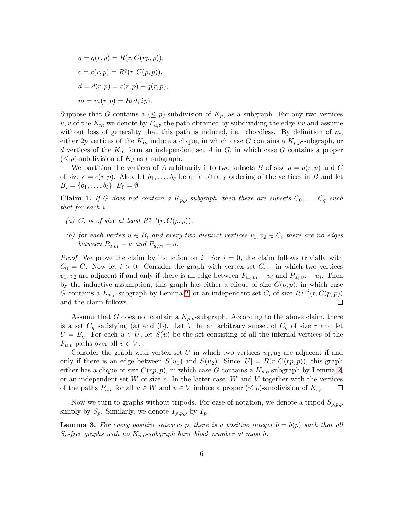$$
q = q(r, p) = R(r, C(rp, p)),
$$
  
\n
$$
c = c(r, p) = Rq(r, C(p, p)),
$$
  
\n
$$
d = d(r, p) = c(r, p) + q(r, p),
$$
  
\n
$$
m = m(r, p) = R(d, 2p).
$$

Suppose that G contains a  $(\leq p)$ -subdivision of  $K_m$  as a subgraph. For any two vertices u, v of the  $K_m$  we denote by  $P_{u,v}$  the path obtained by subdividing the edge uv and assume without loss of generality that this path is induced, i.e. chordless. By definition of  $m$ , either 2p vertices of the  $K_m$  induce a clique, in which case G contains a  $K_{p,p}$ -subgraph, or d vertices of the  $K_m$  form an independent set A in G, in which case G contains a proper  $(\leq p)$ -subdivision of  $K_d$  as a subgraph.

We partition the vertices of A arbitrarily into two subsets B of size  $q = q(r, p)$  and C of size  $c = c(r, p)$ . Also, let  $b_1, \ldots, b_q$  be an arbitrary ordering of the vertices in B and let  $B_i = \{b_1, \ldots, b_i\}, B_0 = \emptyset.$ 

**Claim 1.** If G does not contain a  $K_{p,p}$ -subgraph, then there are subsets  $C_0, \ldots, C_q$  such that for each i

- (a)  $C_i$  is of size at least  $R^{q-i}(r, C(p, p)),$
- (b) for each vertex  $u \in B_i$  and every two distinct vertices  $v_1, v_2 \in C_i$  there are no edges between  $P_{u,v_1} - u$  and  $P_{u,v_2} - u$ .

*Proof.* We prove the claim by induction on i. For  $i = 0$ , the claim follows trivially with  $C_0 = C$ . Now let  $i > 0$ . Consider the graph with vertex set  $C_{i-1}$  in which two vertices  $v_1, v_2$  are adjacent if and only if there is an edge between  $P_{u_i, v_1} - u_i$  and  $P_{u_i, v_2} - u_i$ . Then by the inductive assumption, this graph has either a clique of size  $C(p, p)$ , in which case G contains a  $K_{p,p}$ -subgraph by Lemma [2,](#page-4-1) or an independent set  $C_i$  of size  $R^{q-i}(r, C(p, p))$ and the claim follows. □

Assume that G does not contain a  $K_{p,p}$ -subgraph. According to the above claim, there is a set  $C_q$  satisfying (a) and (b). Let V be an arbitrary subset of  $C_q$  of size r and let  $U = B_q$ . For each  $u \in U$ , let  $S(u)$  be the set consisting of all the internal vertices of the  $P_{u,v}$  paths over all  $v \in V$ .

Consider the graph with vertex set U in which two vertices  $u_1, u_2$  are adjacent if and only if there is an edge between  $S(u_1)$  and  $S(u_2)$ . Since  $|U| = R(r, C(r_p, p))$ , this graph either has a clique of size  $C(rp, p)$ , in which case G contains a  $K_{p,p}$ -subgraph by Lemma [2,](#page-4-1) or an independent set  $W$  of size  $r$ . In the latter case,  $W$  and  $V$  together with the vertices of the paths  $P_{u,v}$  for all  $u \in W$  and  $v \in V$  induce a proper  $(\leq p)$ -subdivision of  $K_{r,r}$ .  $\Box$ 

Now we turn to graphs without tripods. For ease of notation, we denote a tripod  $S_{p,p,p}$ simply by  $S_p$ . Similarly, we denote  $T_{p,p,p}$  by  $T_p$ .

<span id="page-5-0"></span>**Lemma 3.** For every positive integers p, there is a positive integer  $b = b(p)$  such that all  $S_p$ -free graphs with no  $K_{p,p}$ -subgraph have block number at most b.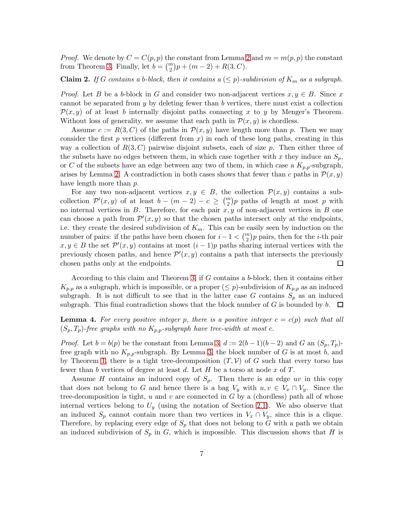*Proof.* We denote by  $C = C(p, p)$  the constant from Lemma [2](#page-4-1) and  $m = m(p, p)$  the constant from Theorem [3.](#page-4-2) Finally, let  $b = \binom{m}{2}p + (m-2) + R(3, C)$ .

**Claim 2.** If G contains a b-block, then it contains  $a \leq p$ )-subdivision of  $K_m$  as a subgraph.

*Proof.* Let B be a b-block in G and consider two non-adjacent vertices  $x, y \in B$ . Since x cannot be separated from y by deleting fewer than b vertices, there must exist a collection  $\mathcal{P}(x, y)$  of at least b internally disjoint paths connecting x to y by Menger's Theorem. Without loss of generality, we assume that each path in  $\mathcal{P}(x, y)$  is chordless.

Assume  $c := R(3, C)$  of the paths in  $\mathcal{P}(x, y)$  have length more than p. Then we may consider the first p vertices (different from  $x$ ) in each of these long paths, creating in this way a collection of  $R(3, C)$  pairwise disjoint subsets, each of size p. Then either three of the subsets have no edges between them, in which case together with x they induce an  $S_p$ , or C of the subsets have an edge between any two of them, in which case a  $K_{p,p}$ -subgraph, arises by Lemma [2.](#page-4-1) A contradiction in both cases shows that fewer than c paths in  $\mathcal{P}(x, y)$ have length more than  $p$ .

For any two non-adjacent vertices  $x, y \in B$ , the collection  $\mathcal{P}(x, y)$  contains a subcollection  $\mathcal{P}'(x,y)$  of at least  $b-(m-2)-c \geq {m \choose 2}p$  paths of length at most p with no internal vertices in  $B$ . Therefore, for each pair  $x, y$  of non-adjacent vertices in  $B$  one can choose a path from  $\mathcal{P}'(x,y)$  so that the chosen paths intersect only at the endpoints, i.e. they create the desired subdivision of  $K_m$ . This can be easily seen by induction on the number of pairs: if the paths have been chosen for  $i-1<\binom{m}{2}p$  pairs, then for the *i*-th pair  $x, y \in B$  the set  $\mathcal{P}'(x, y)$  contains at most  $(i - 1)p$  paths sharing internal vertices with the previously chosen paths, and hence  $\mathcal{P}'(x,y)$  contains a path that intersects the previously chosen paths only at the endpoints. □

According to this claim and Theorem [3,](#page-4-2) if G contains a b-block, then it contains either  $K_{p,p}$  as a subgraph, which is impossible, or a proper  $(\leq p)$ -subdivision of  $K_{p,p}$  as an induced subgraph. It is not difficult to see that in the latter case G contains  $S_p$  as an induced subgraph. This final contradiction shows that the block number of  $G$  is bounded by  $b$ .  $\Box$ 

<span id="page-6-0"></span>**Lemma 4.** For every positive integer p, there is a positive integer  $c = c(p)$  such that all  $(S_p, T_p)$ -free graphs with no  $K_{p,p}$ -subgraph have tree-width at most c.

*Proof.* Let  $b = b(p)$  be the constant from Lemma [3,](#page-5-0)  $d := 2(b-1)(b-2)$  and G an  $(S_p, T_p)$ free graph with no  $K_{p,p}$ -subgraph. By Lemma [3,](#page-5-0) the block number of G is at most b, and by Theorem [1,](#page-2-0) there is a tight tree-decomposition  $(T, V)$  of G such that every torso has fewer than b vertices of degree at least d. Let  $H$  be a torso at node x of  $T$ .

Assume H contains an induced copy of  $S_p$ . Then there is an edge uv in this copy that does not belong to G and hence there is a bag  $V_y$  with  $u, v \in V_x \cap V_y$ . Since the tree-decomposition is tight,  $u$  and  $v$  are connected in  $G$  by a (chordless) path all of whose internal vertices belong to  $U_y$  (using the notation of Section [2.1\)](#page-2-1). We also observe that an induced  $S_p$  cannot contain more than two vertices in  $V_x \cap V_y$ , since this is a clique. Therefore, by replacing every edge of  $S_p$  that does not belong to G with a path we obtain an induced subdivision of  $S_p$  in G, which is impossible. This discussion shows that H is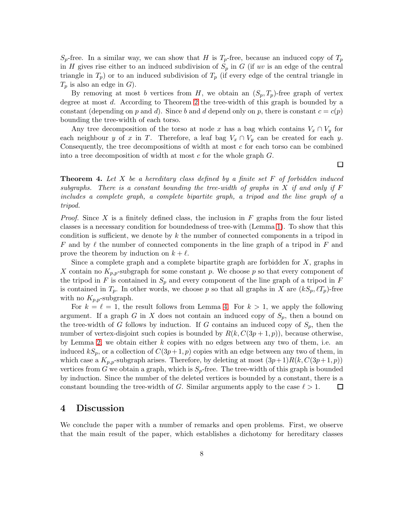$S_p$ -free. In a similar way, we can show that H is  $T_p$ -free, because an induced copy of  $T_p$ in H gives rise either to an induced subdivision of  $S_p$  in G (if uv is an edge of the central triangle in  $T_p$ ) or to an induced subdivision of  $T_p$  (if every edge of the central triangle in  $T_p$  is also an edge in G).

By removing at most b vertices from H, we obtain an  $(S_p, T_p)$ -free graph of vertex degree at most d. According to Theorem [2](#page-3-1) the tree-width of this graph is bounded by a constant (depending on p and d). Since b and d depend only on p, there is constant  $c = c(p)$ bounding the tree-width of each torso.

Any tree decomposition of the torso at node x has a bag which contains  $V_x \cap V_y$  for each neighbour y of x in T. Therefore, a leaf bag  $V_x \cap V_y$  can be created for each y. Consequently, the tree decompositions of width at most  $c$  for each torso can be combined into a tree decomposition of width at most c for the whole graph  $G$ .

**Theorem 4.** Let  $X$  be a hereditary class defined by a finite set  $F$  of forbidden induced subgraphs. There is a constant bounding the tree-width of graphs in  $X$  if and only if  $F$ includes a complete graph, a complete bipartite graph, a tripod and the line graph of a tripod.

*Proof.* Since X is a finitely defined class, the inclusion in F graphs from the four listed classes is a necessary condition for boundedness of tree-with (Lemma [1\)](#page-3-2). To show that this condition is sufficient, we denote by  $k$  the number of connected components in a tripod in F and by  $\ell$  the number of connected components in the line graph of a tripod in F and prove the theorem by induction on  $k + \ell$ .

Since a complete graph and a complete bipartite graph are forbidden for  $X$ , graphs in X contain no  $K_{p,p}$ -subgraph for some constant p. We choose p so that every component of the tripod in F is contained in  $S_p$  and every component of the line graph of a tripod in F is contained in  $T_p$ . In other words, we choose p so that all graphs in X are  $(kS_p, \ell T_p)$ -free with no  $K_{p,p}$ -subgraph.

For  $k = \ell = 1$ , the result follows from Lemma [4.](#page-6-0) For  $k > 1$ , we apply the following argument. If a graph G in X does not contain an induced copy of  $S_p$ , then a bound on the tree-width of G follows by induction. If G contains an induced copy of  $S_p$ , then the number of vertex-disjoint such copies is bounded by  $R(k, C(3p+1, p))$ , because otherwise, by Lemma [2,](#page-4-1) we obtain either  $k$  copies with no edges between any two of them, i.e. an induced  $kS_p$ , or a collection of  $C(3p+1, p)$  copies with an edge between any two of them, in which case a  $K_{p,p}$ -subgraph arises. Therefore, by deleting at most  $(3p+1)R(k, C(3p+1, p))$ vertices from G we obtain a graph, which is  $S_p$ -free. The tree-width of this graph is bounded by induction. Since the number of the deleted vertices is bounded by a constant, there is a constant bounding the tree-width of G. Similar arguments apply to the case  $\ell > 1$ .  $\Box$ 

### <span id="page-7-0"></span>4 Discussion

We conclude the paper with a number of remarks and open problems. First, we observe that the main result of the paper, which establishes a dichotomy for hereditary classes

 $\Box$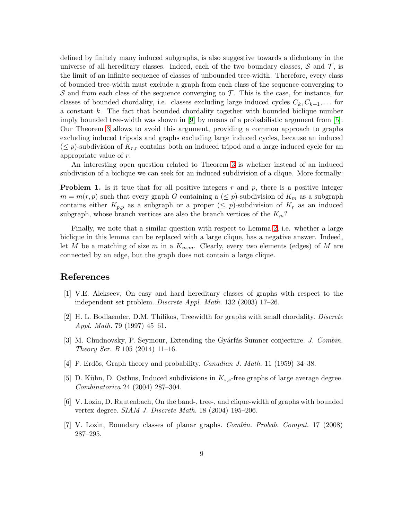defined by finitely many induced subgraphs, is also suggestive towards a dichotomy in the universe of all hereditary classes. Indeed, each of the two boundary classes,  $\mathcal S$  and  $\mathcal T$ , is the limit of an infinite sequence of classes of unbounded tree-width. Therefore, every class of bounded tree-width must exclude a graph from each class of the sequence converging to  $S$  and from each class of the sequence converging to  $T$ . This is the case, for instance, for classes of bounded chordality, i.e. classes excluding large induced cycles  $C_k, C_{k+1}, \ldots$  for a constant k. The fact that bounded chordality together with bounded biclique number imply bounded tree-width was shown in [\[9\]](#page-9-3) by means of a probabilistic argument from [\[5\]](#page-8-6). Our Theorem [3](#page-4-2) allows to avoid this argument, providing a common approach to graphs excluding induced tripods and graphs excluding large induced cycles, because an induced  $(\leq p)$ -subdivision of  $K_{r,r}$  contains both an induced tripod and a large induced cycle for an appropriate value of r.

An interesting open question related to Theorem [3](#page-4-2) is whether instead of an induced subdivision of a biclique we can seek for an induced subdivision of a clique. More formally:

**Problem 1.** Is it true that for all positive integers  $r$  and  $p$ , there is a positive integer  $m = m(r, p)$  such that every graph G containing a  $(\leq p)$ -subdivision of  $K_m$  as a subgraph contains either  $K_{p,p}$  as a subgraph or a proper  $(\leq p)$ -subdivision of  $K_r$  as an induced subgraph, whose branch vertices are also the branch vertices of the  $K_m$ ?

Finally, we note that a similar question with respect to Lemma [2,](#page-4-1) i.e. whether a large biclique in this lemma can be replaced with a large clique, has a negative answer. Indeed, let M be a matching of size m in a  $K_{m,m}$ . Clearly, every two elements (edges) of M are connected by an edge, but the graph does not contain a large clique.

#### <span id="page-8-0"></span>References

- <span id="page-8-5"></span>[1] V.E. Alekseev, On easy and hard hereditary classes of graphs with respect to the independent set problem. Discrete Appl. Math. 132 (2003) 17–26.
- [2] H. L. Bodlaender, D.M. Thilikos, Treewidth for graphs with small chordality. Discrete Appl. Math. 79 (1997) 45–61.
- <span id="page-8-2"></span>[3] M. Chudnovsky, P. Seymour, Extending the Gyárfás-Sumner conjecture. J. Combin. Theory Ser. B 105 (2014) 11–16.
- <span id="page-8-6"></span><span id="page-8-1"></span>[4] P. Erdős, Graph theory and probability. Canadian J. Math. 11 (1959) 34-38.
- [5] D. Kühn, D. Osthus, Induced subdivisions in  $K_{s,s}$ -free graphs of large average degree. Combinatorica 24 (2004) 287–304.
- <span id="page-8-4"></span>[6] V. Lozin, D. Rautenbach, On the band-, tree-, and clique-width of graphs with bounded vertex degree. SIAM J. Discrete Math. 18 (2004) 195–206.
- <span id="page-8-3"></span>[7] V. Lozin, Boundary classes of planar graphs. Combin. Probab. Comput. 17 (2008) 287–295.